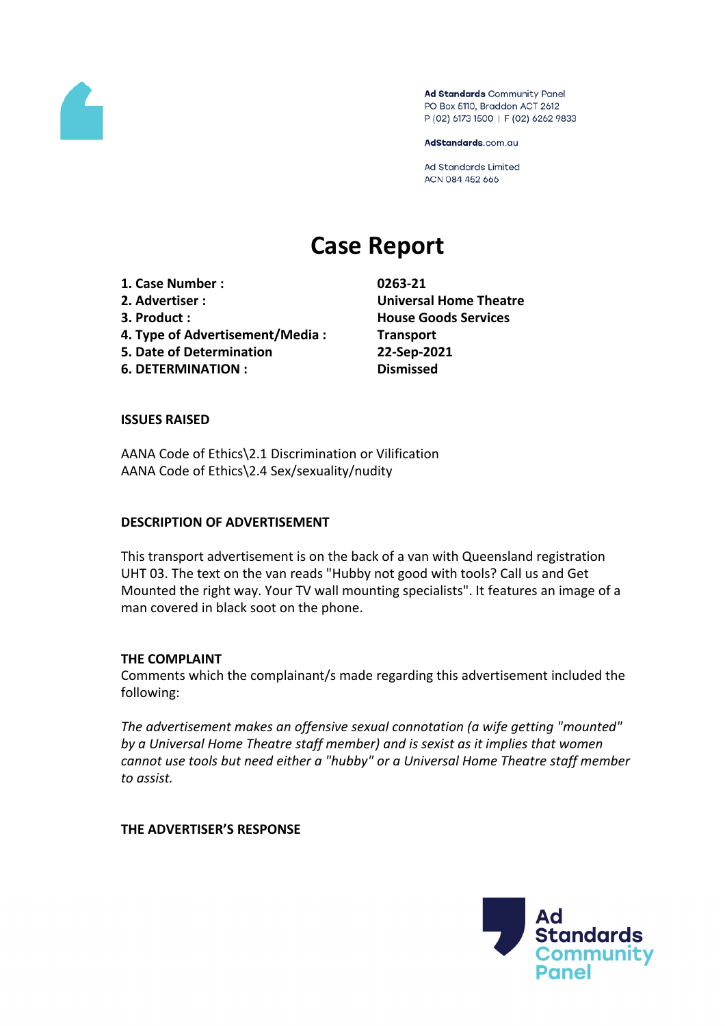

Ad Standards Community Panel PO Box 5110, Braddon ACT 2612 P (02) 6173 1500 | F (02) 6262 9833

AdStandards.com.au

Ad Standards Limited ACN 084 452 666

# **Case Report**

**1. Case Number : 0263-21 2. Advertiser : Universal Home Theatre 3. Product : House Goods Services 4. Type of Advertisement/Media : Transport 5. Date of Determination 22-Sep-2021**

**6. DETERMINATION : Dismissed**

## **ISSUES RAISED**

AANA Code of Ethics\2.1 Discrimination or Vilification AANA Code of Ethics\2.4 Sex/sexuality/nudity

## **DESCRIPTION OF ADVERTISEMENT**

This transport advertisement is on the back of a van with Queensland registration UHT 03. The text on the van reads "Hubby not good with tools? Call us and Get Mounted the right way. Your TV wall mounting specialists". It features an image of a man covered in black soot on the phone.

## **THE COMPLAINT**

Comments which the complainant/s made regarding this advertisement included the following:

*The advertisement makes an offensive sexual connotation (a wife getting "mounted" by a Universal Home Theatre staff member) and is sexist as it implies that women cannot use tools but need either a "hubby" or a Universal Home Theatre staff member to assist.*

## **THE ADVERTISER'S RESPONSE**

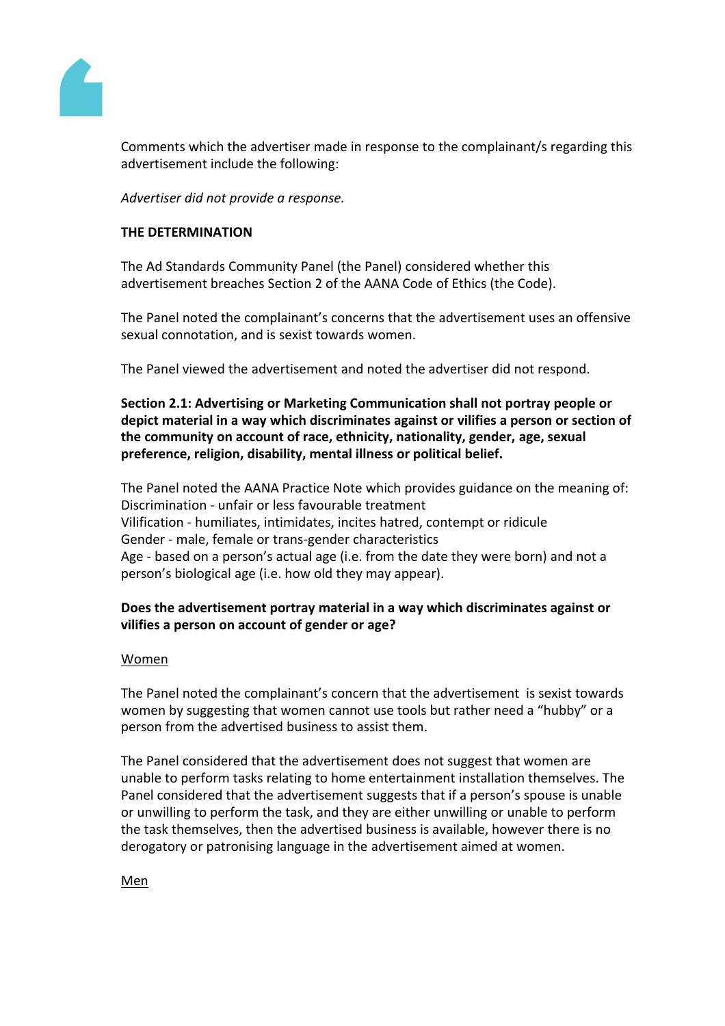

Comments which the advertiser made in response to the complainant/s regarding this advertisement include the following:

*Advertiser did not provide a response.*

# **THE DETERMINATION**

The Ad Standards Community Panel (the Panel) considered whether this advertisement breaches Section 2 of the AANA Code of Ethics (the Code).

The Panel noted the complainant's concerns that the advertisement uses an offensive sexual connotation, and is sexist towards women.

The Panel viewed the advertisement and noted the advertiser did not respond.

**Section 2.1: Advertising or Marketing Communication shall not portray people or depict material in a way which discriminates against or vilifies a person or section of the community on account of race, ethnicity, nationality, gender, age, sexual preference, religion, disability, mental illness or political belief.**

The Panel noted the AANA Practice Note which provides guidance on the meaning of: Discrimination - unfair or less favourable treatment Vilification - humiliates, intimidates, incites hatred, contempt or ridicule Gender - male, female or trans-gender characteristics Age - based on a person's actual age (i.e. from the date they were born) and not a person's biological age (i.e. how old they may appear).

# **Does the advertisement portray material in a way which discriminates against or vilifies a person on account of gender or age?**

## Women

The Panel noted the complainant's concern that the advertisement is sexist towards women by suggesting that women cannot use tools but rather need a "hubby" or a person from the advertised business to assist them.

The Panel considered that the advertisement does not suggest that women are unable to perform tasks relating to home entertainment installation themselves. The Panel considered that the advertisement suggests that if a person's spouse is unable or unwilling to perform the task, and they are either unwilling or unable to perform the task themselves, then the advertised business is available, however there is no derogatory or patronising language in the advertisement aimed at women.

Men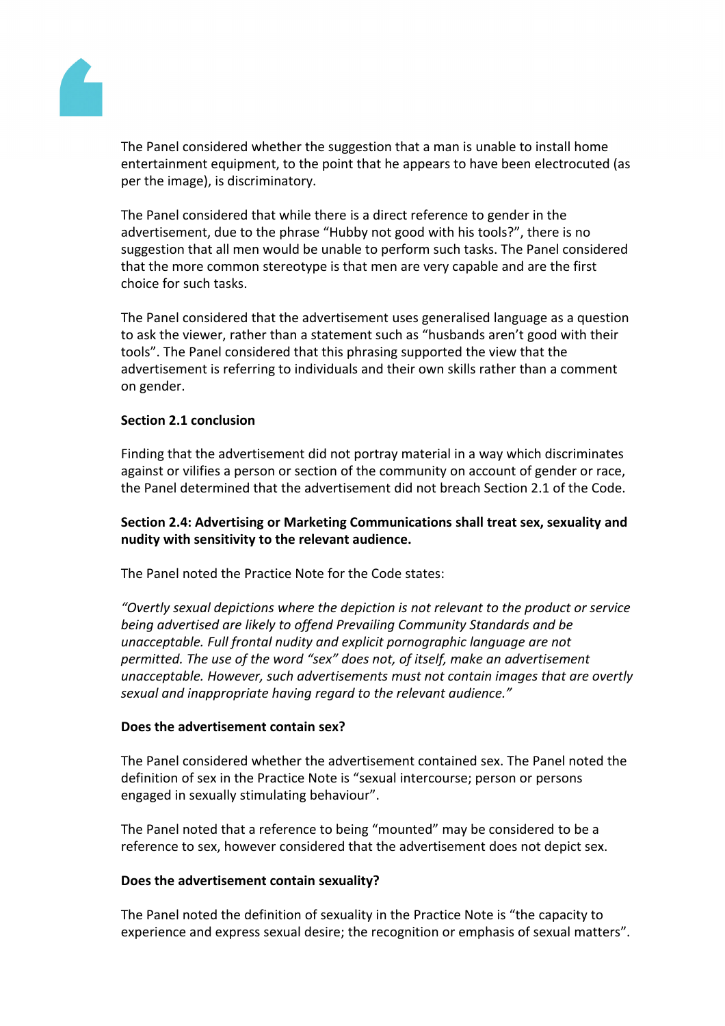

The Panel considered whether the suggestion that a man is unable to install home entertainment equipment, to the point that he appears to have been electrocuted (as per the image), is discriminatory.

The Panel considered that while there is a direct reference to gender in the advertisement, due to the phrase "Hubby not good with his tools?", there is no suggestion that all men would be unable to perform such tasks. The Panel considered that the more common stereotype is that men are very capable and are the first choice for such tasks.

The Panel considered that the advertisement uses generalised language as a question to ask the viewer, rather than a statement such as "husbands aren't good with their tools". The Panel considered that this phrasing supported the view that the advertisement is referring to individuals and their own skills rather than a comment on gender.

## **Section 2.1 conclusion**

Finding that the advertisement did not portray material in a way which discriminates against or vilifies a person or section of the community on account of gender or race, the Panel determined that the advertisement did not breach Section 2.1 of the Code.

# **Section 2.4: Advertising or Marketing Communications shall treat sex, sexuality and nudity with sensitivity to the relevant audience.**

The Panel noted the Practice Note for the Code states:

*"Overtly sexual depictions where the depiction is not relevant to the product or service being advertised are likely to offend Prevailing Community Standards and be unacceptable. Full frontal nudity and explicit pornographic language are not permitted. The use of the word "sex" does not, of itself, make an advertisement unacceptable. However, such advertisements must not contain images that are overtly sexual and inappropriate having regard to the relevant audience."*

# **Does the advertisement contain sex?**

The Panel considered whether the advertisement contained sex. The Panel noted the definition of sex in the Practice Note is "sexual intercourse; person or persons engaged in sexually stimulating behaviour".

The Panel noted that a reference to being "mounted" may be considered to be a reference to sex, however considered that the advertisement does not depict sex.

## **Does the advertisement contain sexuality?**

The Panel noted the definition of sexuality in the Practice Note is "the capacity to experience and express sexual desire; the recognition or emphasis of sexual matters".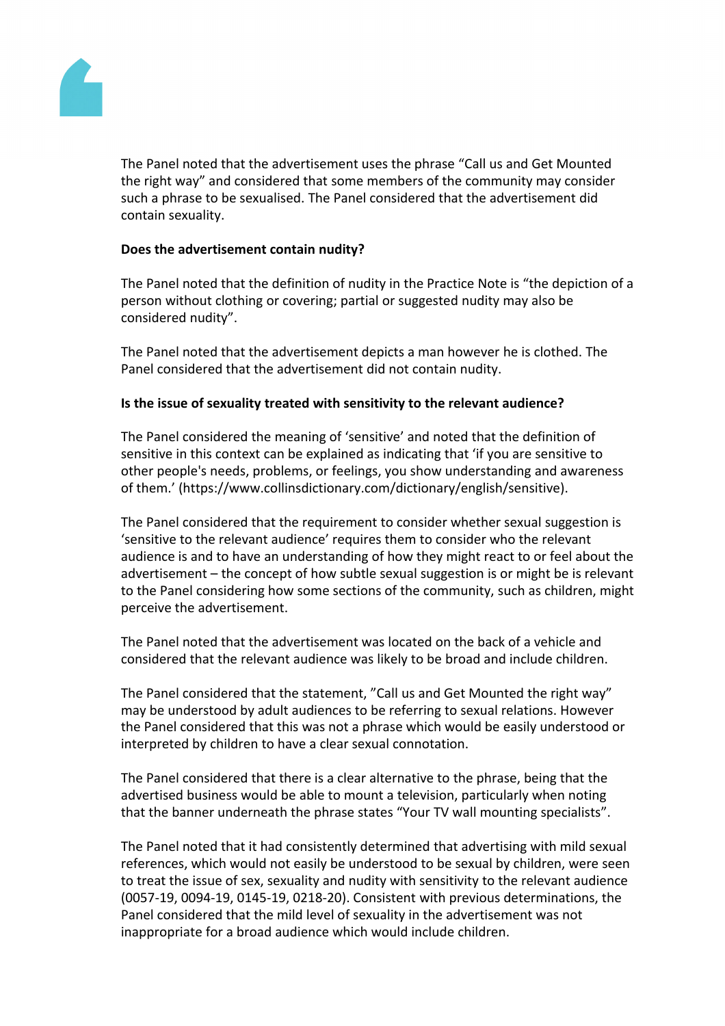

The Panel noted that the advertisement uses the phrase "Call us and Get Mounted the right way" and considered that some members of the community may consider such a phrase to be sexualised. The Panel considered that the advertisement did contain sexuality.

#### **Does the advertisement contain nudity?**

The Panel noted that the definition of nudity in the Practice Note is "the depiction of a person without clothing or covering; partial or suggested nudity may also be considered nudity".

The Panel noted that the advertisement depicts a man however he is clothed. The Panel considered that the advertisement did not contain nudity.

#### **Is the issue of sexuality treated with sensitivity to the relevant audience?**

The Panel considered the meaning of 'sensitive' and noted that the definition of sensitive in this context can be explained as indicating that 'if you are sensitive to other people's needs, problems, or feelings, you show understanding and awareness of them.' (https://www.collinsdictionary.com/dictionary/english/sensitive).

The Panel considered that the requirement to consider whether sexual suggestion is 'sensitive to the relevant audience' requires them to consider who the relevant audience is and to have an understanding of how they might react to or feel about the advertisement – the concept of how subtle sexual suggestion is or might be is relevant to the Panel considering how some sections of the community, such as children, might perceive the advertisement.

The Panel noted that the advertisement was located on the back of a vehicle and considered that the relevant audience was likely to be broad and include children.

The Panel considered that the statement, "Call us and Get Mounted the right way" may be understood by adult audiences to be referring to sexual relations. However the Panel considered that this was not a phrase which would be easily understood or interpreted by children to have a clear sexual connotation.

The Panel considered that there is a clear alternative to the phrase, being that the advertised business would be able to mount a television, particularly when noting that the banner underneath the phrase states "Your TV wall mounting specialists".

The Panel noted that it had consistently determined that advertising with mild sexual references, which would not easily be understood to be sexual by children, were seen to treat the issue of sex, sexuality and nudity with sensitivity to the relevant audience (0057-19, 0094-19, 0145-19, 0218-20). Consistent with previous determinations, the Panel considered that the mild level of sexuality in the advertisement was not inappropriate for a broad audience which would include children.